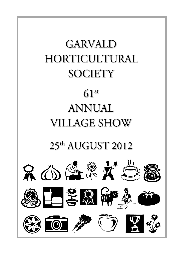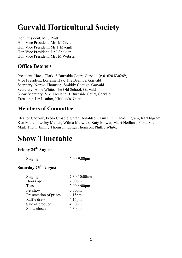# **Garvald Horticultural Society**

Hon President, Mr J Pratt Hon Vice President, Mrs M Cryle Hon Vice President, Mr T Macgill Hon Vice President, Dr J Sheldon Hon Vice President, Mrs M Webster

#### **Office Bearers**

President, Hazel Clark, 6 Burnside Court, Garvald (t: 01620 830269) Vice President, Lorraine Hay, The Beehive, Garvald Secretary, Norma Thomson, Smiddy Cottage, Garvald Secretary, Anne White, The Old School, Garvald Show Secretary, Viki Freeland, 1 Burnside Court, Garvald Treasurer, Liz Leather, Kirklands, Garvald

#### **Members of Committee**

Eleanor Cadzow, Freda Crosbie, Sarah Donaldson, Tim Flinn, Heidi Ingram, Karl Ingram, Ken Mallen, Lesley Mallen, Wilma Marwick, Katy Mowat, Mairi Neillans, Fiona Sheldon, Mark Thom, Jimmy Thomson, Leigh Thomson, Phillip White.

# **Show Timetable**

#### **Friday 24th August**

Staging 6:00-9:00pm

#### **Saturday 25th August**

| <b>Staging</b>         | 7:30-10:00am       |
|------------------------|--------------------|
| Doors open             | 2:00 <sub>pm</sub> |
| Teas                   | $2:00-4:00$ pm     |
| Pet show               | $3:00$ pm          |
| Presentation of prizes | $4:15$ pm          |
| Raffle draw            | $4:15$ pm          |
| Sale of produce        | 4:30 <sub>pm</sub> |
| Show closes            | 4:30pm             |
|                        |                    |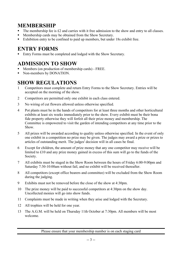#### **MEMBERSHIP**

- ! The membership fee is £2 and carries with it free admission to the show and entry to all classes.
- ! Membership cards may be obtained from the Show Secretary.
- ! Exhibition entry to be confined to paid up members, but under 18s exhibit free.

### **ENTRY FORMS**

! Entry Forms must be completed and lodged with the Show Secretary.

## **ADMISSION TO SHOW**

- ! Members (on production of membership cards) FREE.
- Non-members by DONATION.

## **SHOW REGULATIONS**

- 1 Competitors must complete and return Entry Forms to the Show Secretary. Entries will be accepted on the morning of the show.
- 2 Competitors are permitted only one exhibit in each class entered.
- 3 No wiring of cut flowers allowed unless otherwise specified.
- 4 Pot plants must be in the hands of competitors for at least three months and other horticultural exhibits at least six weeks immediately prior to the show. Every exhibit must be their bona fide property otherwise they will forfeit all their prize money and membership. The Committee is empowered to visit the garden of intending competitors at any time prior to the Show.
- 5 All prizes will be awarded according to quality unless otherwise specified. In the event of only one exhibit in a competition no prize may be given. The judges may award a prize or prizes to articles of outstanding merit. The judges' decision will in all cases be final.
- 6 Except for children, the amount of prize money that any one competitor may receive will be limited to £10 and any prize money gained in excess of this sum will go to the funds of the Society.
- 7 All exhibits must be staged in the Show Room between the hours of Friday 6:00-9:00pm and Saturday 7:30-10:00am without fail, and no exhibit will be received thereafter.
- 8 All competitors (except office bearers and committee) will be excluded from the Show Room during the judging.
- 9 Exhibits must not be removed before the close of the show at 4:30pm.
- 10 The prize money will be paid to successful competitors at 4:30pm on the show day. Uncollected monies will go into show funds.
- 11 Complaints must be made in writing when they arise and lodged with the Secretary.
- 12 All trophies will be held for one year.
- 13 The A.G.M. will be held on Thursday 11th October at 7:30pm. All members will be most welcome.

Please ensure that your membership number is on each staging card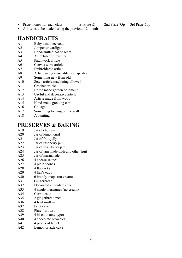- Prize money for each class: 1st Prize-£1 2nd Prize-75p 3rd Prize-50p
	-

! All items to be made during the previous 12 months

#### **HANDICRAFTS**

- A1 Baby's matinee coat
- A2 Jumper or cardigan
- A3 Hand-knitted hat or scarf
- A4 An exhibit of jewellery
- A5 Patchwork article
- A6 Canvas work article
- A7 Embroidered article
- A8 Article using cross stitch or tapestry
- A9 Something new from old
- A10 Sewn article machining allowed
- A11 Crochet article
- A12 Home made garden ornament
- A13 Useful and decorative article
- A14 Article made from wood
- A15 Hand-made greeting card
- A16 Collage
- A17 Something to hang on the wall
- A18 A painting

#### **PRESERVES & BAKING**

- A19 Jar of chutney
- A20 Jar of lemon curd
- A21 Jar of fruit jelly
- A22 Jar of raspberry jam
- A23 Jar of strawberry jam
- A24 Jar of jam made with any other fruit
- A25 Jar of marmalade
- A26 4 cheese scones
- A27 4 plain scones
- A28 4 flapjacks
- A29 4 hen's eggs
- A30 6 brandy snaps (no cream)
- A31 Gingerbread
- A32 Decorated chocolate cake
- A33 4 single meringues (no cream)
- A34 Carrot cake
- A35 2 gingerbread men
- A36 4 fruit muffins
- A37 Fruit cake
- A38 Plate fruit tart
- A39 4 biscuits (any type)
- A40 4 chocolate brownies
- A41 4 pieces of tablet
- A42 Lemon drizzle cake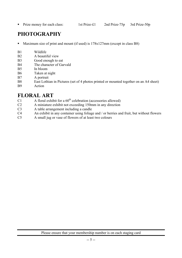• Prize money for each class: 1st Prize-£1 2nd Prize-75p 3rd Prize-50p

# **PHOTOGRAPHY**

- ! Maximum size of print and mount (if used) is 178x127mm (except in class B8)
- B1 Wildlife
- B2 A beautiful view
- B3 Good enough to eat
- B4 The character of Garvald
- B5 In bloom
- B6 Taken at night
- B7 A portrait
- B8 East Lothian in Pictures (set of 4 photos printed or mounted together on an A4 sheet)
- B9 Action

#### **FLORAL ART**

- C1 A floral exhibit for a  $60<sup>th</sup>$  celebration (accessories allowed)
- C2 A miniature exhibit not exceeding 150mm in any direction
- C3 A table arrangement including a candle
- C4 An exhibit in any container using foliage and / or berries and fruit, but without flowers
- C5 A small jug or vase of flowers of at least two colours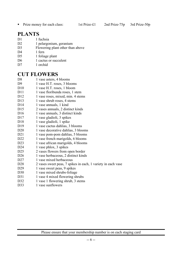• Prize money for each class: 1st Prize-£1 2nd Prize-75p 3rd Prize-50p

#### **PLANTS**

- D1 1 fuchsia D<sub>2</sub> 1 pelargonium, geranium
- D3 Flowering plant other than above
- D<sub>4</sub> 1 fern
- D5 1 foliage plant
- D6 1 cactus or succulent
- D7 1 orchid

#### **CUT FLOWERS**

- D8 1 vase asters, 4 blooms D9 1 vase H.T. roses, 3 blooms D10 1 vase H.T. roses, 1 bloom D11 1 vase floribunda roses, 1 stem D12 1 vase roses, mixed, min. 4 stems D13 1 vase shrub roses, 4 stems D14 1 vase annuals, 1 kind D15 2 vases annuals, 2 distinct kinds D16 1 vase annuals, 3 distinct kinds D17 1 vase gladioli, 3 spikes D18 1 vase gladioli, 1 spike D19 1 vase cactus dahlias, 3 blooms D20 1 vase decorative dahlias, 3 blooms D21 1 vase pom-pom dahlias, 5 blooms D22 1 vase french marigolds, 6 blooms D23 1 vase african marigolds, 4 blooms D24 1 vase phlox, 3 spikes D25 2 vases flowers from open border D26 1 vase herbaceous, 2 distinct kinds D27 1 vase mixed herbaceous D28 2 vases sweet peas, 7 spikes in each, 1 variety in each vase D29 1 vase sweet peas, 9 spikes D30 1 vase mixed shrubs-foliage D31 1 vase 4 mixed flowering shrubs D32 1 vase 1 flowering shrub, 3 stems
- D33 1 vase sunflowers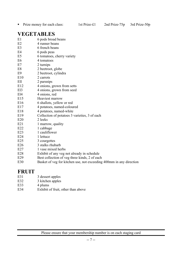! Prize money for each class: 1st Prize-£1 2nd Prize-75p 3rd Prize-50p

in any direction

#### **VEGETABLES**

| E1             | 6 pods broad beans                                 |
|----------------|----------------------------------------------------|
| E2             | 4 runner beans                                     |
| E <sub>3</sub> | 6 french beans                                     |
| E4             | 6 pods peas                                        |
| E <sub>5</sub> | 6 tomatoes, cherry variety                         |
| E <sub>6</sub> | 4 tomatoes                                         |
| E7             | 2 turnips                                          |
| E8             | 2 beetroot, globe                                  |
| E <sub>9</sub> | 2 beetroot, cylindra                               |
| E10            | 2 carrots                                          |
| Ell            | 2 parsnips                                         |
| E12            | 4 onions, grown from setts                         |
| E13            | 4 onions, grown from seed                          |
| E14            | 4 onions, red                                      |
| E15            | Heaviest marrow                                    |
| E16            | 6 shallots, yellow or red                          |
| E17            | 4 potatoes, named-coloured                         |
| E18            | 4 potatoes, named-white                            |
| E19            | Collection of potatoes 3 varieties, 3 of each      |
| E20            | 2 leeks                                            |
| E21            | 1 marrow, quality                                  |
| E22            | 1 cabbage                                          |
| E23            | 1 cauliflower                                      |
| E24            | 1 lettuce                                          |
| E25            | 3 courgettes                                       |
| E26            | 3 stalks rhubarb                                   |
| E27            | 1 vase mixed herbs                                 |
| E28            | Exhibit of any veg not already in schedule         |
| E29            | Best collection of veg three kinds, 2 of each      |
| E30            | Basket of veg for kitchen use, not exceeding 400mm |
|                |                                                    |

#### **FRUIT**

- E31 3 dessert apples
- E32 3 kitchen apples
- E33 4 plums
- E34 Exhibit of fruit, other than above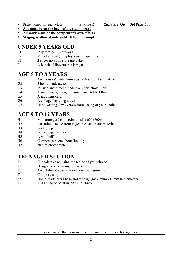- Prize money for each class: 1st Prize-£1 2nd Prize-75p 3rd Prize-50p
- ! **Age must be on the back of the staging card**
- ! **All work must be the competitor's own efforts**
- ! **Staging is allowed only until 10:00am prompt**

#### **UNDER 5 YEARS OLD**

- F1 'My family' A4 artwork
- F2 Model animal (e.g. playdough, papier mâché)
- F3 2 slices no-cook style traybake
- F4 A bunch of flowers in a jam jar

#### **AGE 5 TO 8 YEARS**

- G1 An 'monster' made from vegetables and plant material
- G<sub>2</sub> 3 home-made sweets
- G3 Musical instrument made from household junk
- G4 A miniature garden, maximum size 600x600mm
- G5 A greetings card
- G6 A collage depicting a tree
- G7 Hand-writing. Two verses from a song of your choice

#### **AGE 9 TO 12 YEARS**

- H1 Miniature garden, maximum size 600x600mm
- H2 An 'animal' made from vegetables and plant material
- H3 Sock puppet
- H4 Jam sponge sandwich
- H5 A windmill
- H6 Compose a poem about 'holidays'
- H7 Nature photograph

#### **TEENAGER SECTION**

- T1 Chocolate cake, using the recipe of your choice
- T2 Design a coat of arms for Garvald
- T3 An exhibit of vegetables of your own growing
- T4 Compose a rap!
- T5 Home-made pizza base and topping (maximum 210mm in diameter)
- T6 A drawing or painting 'At The Disco'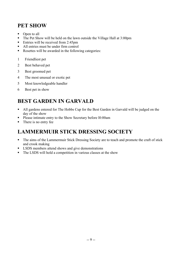#### **PET SHOW**

- Open to all
- ! The Pet Show will be held on the lawn outside the Village Hall at 3:00pm
- Entries will be received from 2:45pm
- ! All entries must be under firm control
- ! Rosettes will be awarded in the following categories:
- 1 Friendliest pet
- 2 Best behaved pet
- 3 Best groomed pet
- 4 The most unusual or exotic pet
- 5 Most knowledgeable handler
- 6 Best pet in show

# **BEST GARDEN IN GARVALD**

- ! All gardens entered for The Hobbs Cup for the Best Garden in Garvald will be judged on the day of the show
- ! Please intimate entry to the Show Secretary before l0:00am
- There is no entry fee

## **LAMMERMUIR STICK DRESSING SOCIETY**

- ! The aims of the Lammermuir Stick Dressing Society are to teach and promote the craft of stick and crook making
- **EXPLUME:** LSDS members attend shows and give demonstrations
- ! The LSDS will hold a competition in various classes at the show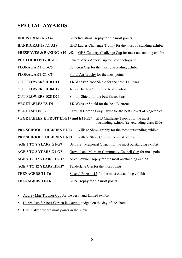#### **SPECIAL AWARDS**

| <b>INDUSTRIAL A1-A42</b>                                                                                                  | GHS Industrial Trophy for the most points                     |  |  |  |  |
|---------------------------------------------------------------------------------------------------------------------------|---------------------------------------------------------------|--|--|--|--|
| <b>HANDICRAFTS A1-A18</b>                                                                                                 | GHS Ladies Challenge Trophy for the most outstanding exhibit  |  |  |  |  |
| <b>PRESERVES &amp; BAKING A19-A42</b><br>GHS Cookery Challenge Cup for most outstanding exhibit                           |                                                               |  |  |  |  |
| PHOTOGRAPHY B1-B9                                                                                                         | Sancta Maria Abbey Cup for best photograph                    |  |  |  |  |
| <b>FLORAL ART C1-C5</b>                                                                                                   | Cameron Cup for the most outstanding exhibit                  |  |  |  |  |
| <b>FLORAL ART C1-C5</b>                                                                                                   | Floral Art Trophy for the most points                         |  |  |  |  |
| <b>CUT FLOWERS D10-D11</b>                                                                                                | J.K. Webster Rose Shield for the best HT Roses                |  |  |  |  |
| <b>CUT FLOWERS D18-D19</b>                                                                                                | James Hardie Cup for the best Gladioli                        |  |  |  |  |
| <b>CUT FLOWERS D28-D29</b>                                                                                                | Smithy Shield for the best Sweet Peas                         |  |  |  |  |
| <b>VEGETABLES E8-E9</b>                                                                                                   | J.K Webster Shield for the best Beetroot                      |  |  |  |  |
| <b>VEGETABLES E30</b>                                                                                                     | Cardinal Gordon Gray Salver for the best Basket of Vegetables |  |  |  |  |
| VEGETABLES & FRUIT E1-E29 and E31-E34 GHS Challenge Trophy for the most<br>outstanding exhibit (i.e. excluding class E30) |                                                               |  |  |  |  |
| PRE SCHOOL CHILDREN F1-F4                                                                                                 | Village Show Trophy for the most outstanding exhibit          |  |  |  |  |
| PRE SCHOOL CHILDREN F1-F4                                                                                                 | Village Show Cup for the most points                          |  |  |  |  |
| <b>AGE 5 TO 8 YEARS G1-G7</b>                                                                                             | Bett Pratt Memorial Quaich for the most outstanding exhibit   |  |  |  |  |
| <b>AGE 5 TO 8 YEARS G1-G7</b>                                                                                             | Garvald and Morham Community Council Cup for most points      |  |  |  |  |
| AGE 9 TO 12 YEARS H1-H7                                                                                                   | Alice Lawrie Trophy for the most outstanding exhibit          |  |  |  |  |
| AGE 9 TO 12 YEARS H1-H7                                                                                                   | Tanderlane Cup for the most points                            |  |  |  |  |
| <b>TEENAGERS T1-T6</b>                                                                                                    | Special Prize of £5 for the most outstanding exhibit          |  |  |  |  |
| <b>TEENAGERS T1-T6</b>                                                                                                    | GHS Trophy for the most points                                |  |  |  |  |

- ! Audrey Mae Traynor Cup for the best hand-knitted exhibit
- ! Hobbs Cup for Best Garden in Garvald judged on the day of the show
- **EXECUTE:** GHS Salver for the most points in the show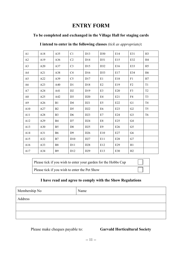#### **ENTRY FORM**

#### **To be completed and exchanged in the Village Hall for staging cards**

| A1             | A18 | A35            | C <sub>1</sub>  | D <sub>13</sub> | D <sub>30</sub> | E14 | E31            | H <sub>3</sub> |
|----------------|-----|----------------|-----------------|-----------------|-----------------|-----|----------------|----------------|
| A2             | A19 | A36            | C <sub>2</sub>  | D14             | D31             | E15 | E32            | H <sub>4</sub> |
| A <sub>3</sub> | A20 | A37            | C <sub>3</sub>  | D15             | D32             | E16 | E33            | H <sub>5</sub> |
| A4             | A21 | A38            | C4              | D <sub>16</sub> | D33             | E17 | E34            | H <sub>6</sub> |
| A <sub>5</sub> | A22 | A39            | C <sub>5</sub>  | D17             | E1              | E18 | F1             | H7             |
| A6             | A23 | A40            | D1              | D18             | E2              | E19 | F2             | T <sub>1</sub> |
| A7             | A24 | A41            | D <sub>2</sub>  | D <sub>19</sub> | E3              | E20 | F3             | T <sub>2</sub> |
| A8             | A25 | A42            | D <sub>3</sub>  | D20             | E4              | E21 | F4             | T <sub>3</sub> |
| A <sub>9</sub> | A26 | B1             | D <sub>4</sub>  | D21             | E <sub>5</sub>  | E22 | G1             | T <sub>4</sub> |
| A10            | A27 | B <sub>2</sub> | D <sub>5</sub>  | D22             | E6              | E23 | G2             | T <sub>5</sub> |
| A11            | A28 | B <sub>3</sub> | D <sub>6</sub>  | D23             | E7              | E24 | G <sub>3</sub> | T <sub>6</sub> |
| A12            | A29 | B4             | D7              | D24             | E8              | E25 | G4             |                |
| A13            | A30 | B <sub>5</sub> | D <sub>8</sub>  | D25             | E <sub>9</sub>  | E26 | G <sub>5</sub> |                |
| A14            | A31 | <b>B6</b>      | D <sub>9</sub>  | D <sub>26</sub> | E10             | E27 | G <sub>6</sub> |                |
| A15            | A32 | B7             | D10             | D27             | E11             | E28 | G7             |                |
| A16            | A33 | B <sub>8</sub> | D11             | D <sub>28</sub> | E12             | E29 | H1             |                |
| A17            | A34 | <b>B</b> 9     | D <sub>12</sub> | D <sub>29</sub> | E13             | E30 | H2             |                |

#### **I intend to enter in the following classes** *(tick as appropriate)***:**

Please tick if you wish to enter your garden for the Hobbs Cup

Please tick if you wish to enter the Pet Show

#### **I have read and agree to comply with the Show Regulations**

| Membership No | Name |
|---------------|------|
| Address       |      |
|               |      |
|               |      |

#### Please make cheques payable to: **Garvald Horticultural Society**